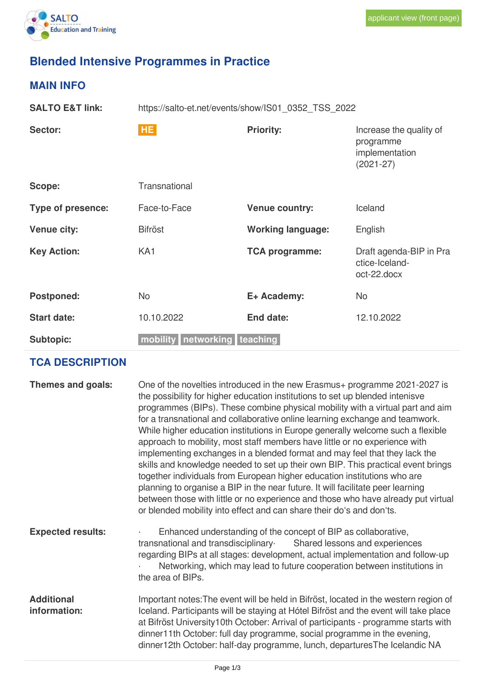# **Blended Intensive Programmes in Practice**

## **MAIN INFO**

| <b>SALTO E&amp;T link:</b> | https://salto-et.net/events/show/IS01 0352 TSS 2022 |                          |                                                                         |
|----------------------------|-----------------------------------------------------|--------------------------|-------------------------------------------------------------------------|
| Sector:                    | <b>HE</b>                                           | <b>Priority:</b>         | Increase the quality of<br>programme<br>implementation<br>$(2021 - 27)$ |
| Scope:                     | Transnational                                       |                          |                                                                         |
| <b>Type of presence:</b>   | Face-to-Face                                        | <b>Venue country:</b>    | Iceland                                                                 |
| <b>Venue city:</b>         | <b>Bifröst</b>                                      | <b>Working language:</b> | English                                                                 |
| <b>Key Action:</b>         | KA <sub>1</sub>                                     | <b>TCA programme:</b>    | Draft agenda-BIP in Pra<br>ctice-Iceland-<br>not-22 door                |

|                    |                                  |             | <u>UNUCTIUCIAI IUT</u><br>oct-22.docx |  |
|--------------------|----------------------------------|-------------|---------------------------------------|--|
| <b>Postponed:</b>  | No.                              | E+ Academy: | No                                    |  |
| <b>Start date:</b> | 10.10.2022                       | End date:   | 12.10.2022                            |  |
| <b>Subtopic:</b>   | mobility   networking   teaching |             |                                       |  |

## **TCA DESCRIPTION**

| Themes and goals:                 | One of the novelties introduced in the new Erasmus+ programme 2021-2027 is<br>the possibility for higher education institutions to set up blended intenisve<br>programmes (BIPs). These combine physical mobility with a virtual part and aim<br>for a transnational and collaborative online learning exchange and teamwork.<br>While higher education institutions in Europe generally welcome such a flexible<br>approach to mobility, most staff members have little or no experience with<br>implementing exchanges in a blended format and may feel that they lack the<br>skills and knowledge needed to set up their own BIP. This practical event brings<br>together individuals from European higher education institutions who are<br>planning to organise a BIP in the near future. It will facilitate peer learning<br>between those with little or no experience and those who have already put virtual<br>or blended mobility into effect and can share their do's and don'ts. |
|-----------------------------------|----------------------------------------------------------------------------------------------------------------------------------------------------------------------------------------------------------------------------------------------------------------------------------------------------------------------------------------------------------------------------------------------------------------------------------------------------------------------------------------------------------------------------------------------------------------------------------------------------------------------------------------------------------------------------------------------------------------------------------------------------------------------------------------------------------------------------------------------------------------------------------------------------------------------------------------------------------------------------------------------|
| <b>Expected results:</b>          | Enhanced understanding of the concept of BIP as collaborative,<br>$\blacksquare$<br>transnational and transdisciplinary Shared lessons and experiences<br>regarding BIPs at all stages: development, actual implementation and follow-up<br>Networking, which may lead to future cooperation between institutions in<br>the area of BIPs.                                                                                                                                                                                                                                                                                                                                                                                                                                                                                                                                                                                                                                                    |
| <b>Additional</b><br>information: | Important notes: The event will be held in Bifröst, located in the western region of<br>Iceland. Participants will be staying at Hótel Bifröst and the event will take place<br>at Bifröst University10th October: Arrival of participants - programme starts with<br>dinner11th October: full day programme, social programme in the evening,<br>dinner12th October: half-day programme, lunch, departuresThe Icelandic NA                                                                                                                                                                                                                                                                                                                                                                                                                                                                                                                                                                  |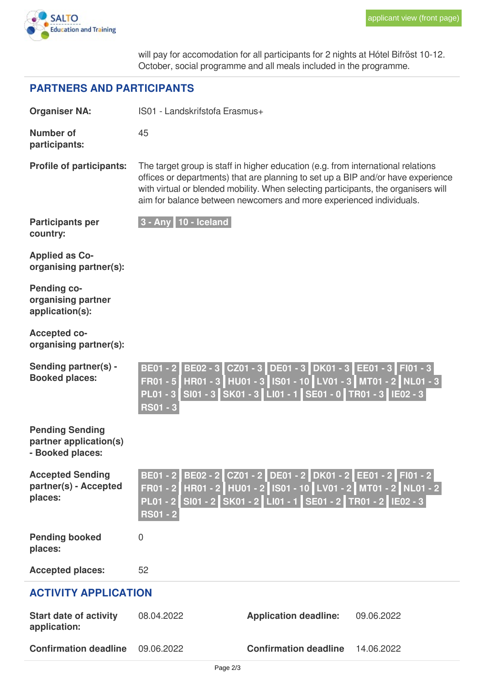

will pay for accomodation for all participants for 2 nights at Hótel Bifröst 10-12. October, social programme and all meals included in the programme.

#### **PARTNERS AND PARTICIPANTS**

| <b>Organiser NA:</b>                                                 | IS01 - Landskrifstofa Erasmus+                        |                                                                                                                                                                                                                                                                                                                                   |            |  |
|----------------------------------------------------------------------|-------------------------------------------------------|-----------------------------------------------------------------------------------------------------------------------------------------------------------------------------------------------------------------------------------------------------------------------------------------------------------------------------------|------------|--|
| <b>Number of</b><br>participants:                                    | 45                                                    |                                                                                                                                                                                                                                                                                                                                   |            |  |
| <b>Profile of participants:</b>                                      |                                                       | The target group is staff in higher education (e.g. from international relations<br>offices or departments) that are planning to set up a BIP and/or have experience<br>with virtual or blended mobility. When selecting participants, the organisers will<br>aim for balance between newcomers and more experienced individuals. |            |  |
| <b>Participants per</b><br>country:                                  | $3 - Any 10 - Iceland$                                |                                                                                                                                                                                                                                                                                                                                   |            |  |
| <b>Applied as Co-</b><br>organising partner(s):                      |                                                       |                                                                                                                                                                                                                                                                                                                                   |            |  |
| <b>Pending co-</b><br>organising partner<br>application(s):          |                                                       |                                                                                                                                                                                                                                                                                                                                   |            |  |
| <b>Accepted co-</b><br>organising partner(s):                        |                                                       |                                                                                                                                                                                                                                                                                                                                   |            |  |
| Sending partner(s) -<br><b>Booked places:</b>                        | <b>BE01 - 2</b><br><b>FR01 - 5</b><br><b>RS01 - 3</b> | BE02 - 3 CZ01 - 3 DE01 - 3 DK01 - 3 EE01 - 3 FI01 - 3<br>HR01 - 3 HU01 - 3 IS01 - 10 LV01 - 3 MT01 - 2 NL01 - 3<br>PL01 - 3 SI01 - 3 SK01 - 3 LI01 - 1 SE01 - 0 TR01 - 3 IE02 - 3                                                                                                                                                 |            |  |
| <b>Pending Sending</b><br>partner application(s)<br>- Booked places: |                                                       |                                                                                                                                                                                                                                                                                                                                   |            |  |
| <b>Accepted Sending</b><br>partner(s) - Accepted<br>places:          | <b>BE01 - 2</b><br>$FR01 - 2$<br><b>RS01 - 2</b>      | BE02 - 2 CZ01 - 2 DE01 - 2 DK01 - 2 EE01 - 2 FI01 - 2<br>HR01 - 2   HU01 - 2   IS01 - 10   LV01 - 2   MT01 - 2   NL01 - 2  <br>PL01 - 2 SI01 - 2 SK01 - 2 LI01 - 1 SE01 - 2 TR01 - 2 IE02 - 3                                                                                                                                     |            |  |
| <b>Pending booked</b><br>places:                                     | $\overline{0}$                                        |                                                                                                                                                                                                                                                                                                                                   |            |  |
| <b>Accepted places:</b>                                              | 52                                                    |                                                                                                                                                                                                                                                                                                                                   |            |  |
| <b>ACTIVITY APPLICATION</b>                                          |                                                       |                                                                                                                                                                                                                                                                                                                                   |            |  |
| <b>Start date of activity</b><br>application:                        | 08.04.2022                                            | <b>Application deadline:</b>                                                                                                                                                                                                                                                                                                      | 09.06.2022 |  |
| <b>Confirmation deadline</b>                                         | 09.06.2022                                            | <b>Confirmation deadline</b>                                                                                                                                                                                                                                                                                                      | 14.06.2022 |  |